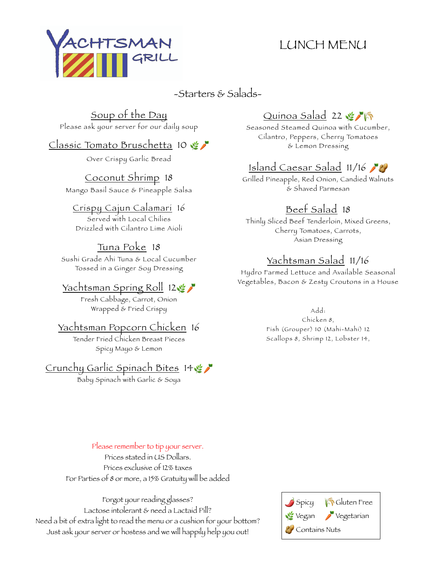## LUNCH MENU



-Starters & Salads-

# Soup of the Day

Please ask your server for our daily soup

#### Classic Tomato Bruschetta 10

Over Crispy Garlic Bread

Coconut Shrimp 18 Mango Basil Sauce & Pineapple Salsa

#### Crispy Cajun Calamari 16

Served with Local Chilies Drizzled with Cilantro Lime Aioli

#### Tuna Poke 18

Sushi Grade Ahi Tuna & Local Cucumber Tossed in a Ginger Soy Dressing

#### Yachtsman Spring Roll 12

Fresh Cabbage, Carrot, Onion Wrapped & Fried Crispy

#### Yachtsman Popcorn Chicken 16

Tender Fried Chicken Breast Pieces Spicy Mayo & Lemon

#### Crunchy Garlic Spinach Bites 14

Baby Spinach with Garlic & Soya

### Quinoa Salad 22 \$1

Seasoned Steamed Quinoa with Cucumber, Cilantro, Peppers, Cherry Tomatoes & Lemon Dressing

### Island Caesar Salad 11/16

Grilled Pineapple, Red Onion, Candied Walnuts & Shaved Parmesan

### Beef Salad 18

Thinly Sliced Beef Tenderloin, Mixed Greens, Cherry Tomatoes, Carrots, Asian Dressing

### Yachtsman Salad 11/16

Hydro Farmed Lettuce and Available Seasonal Vegetables, Bacon & Zesty Croutons in a House

> Add: Chicken 8, Fish (Grouper) 10 (Mahi-Mahi) 12 Scallops 8, Shrimp 12, Lobster 14,

Please remember to tip your server. Prices stated in US Dollars. Prices exclusive of 12% taxes For Parties of 8 or more, a 15% Gratuity will be added



Forgot your reading glasses? Lactose intolerant & need a Lactaid Pill? Need a bit of extra light to read the menu or a cushion for your bottom? Just ask your server or hostess and we will happily help you out!